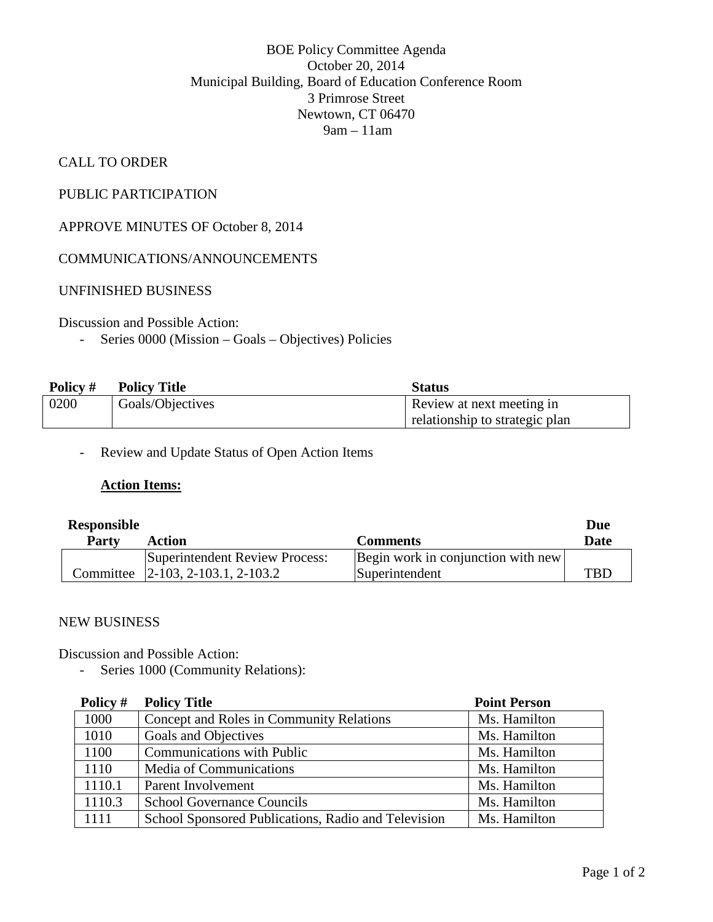### BOE Policy Committee Agenda October 20, 2014 Municipal Building, Board of Education Conference Room 3 Primrose Street Newtown, CT 06470 9am – 11am

## CALL TO ORDER

## PUBLIC PARTICIPATION

# APPROVE MINUTES OF October 8, 2014

#### COMMUNICATIONS/ANNOUNCEMENTS

#### UNFINISHED BUSINESS

#### Discussion and Possible Action:

- Series 0000 (Mission – Goals – Objectives) Policies

| Policy # | <b>Policy Title</b> | <b>Status</b>                  |
|----------|---------------------|--------------------------------|
| 0200     | Goals/Objectives    | Review at next meeting in      |
|          |                     | relationship to strategic plan |

- Review and Update Status of Open Action Items

#### **Action Items:**

| <b>Responsible</b> |                                   |                                    |      |
|--------------------|-----------------------------------|------------------------------------|------|
| <b>Party</b>       | Action                            | <b>Comments</b>                    | Date |
|                    | Superintendent Review Process:    | Begin work in conjunction with new |      |
|                    | Committee 2-103, 2-103.1, 2-103.2 | Superintendent                     | TRI  |

#### NEW BUSINESS

Discussion and Possible Action:

- Series 1000 (Community Relations):

| Policy # | <b>Policy Title</b>                                 | <b>Point Person</b> |
|----------|-----------------------------------------------------|---------------------|
| 1000     | Concept and Roles in Community Relations            | Ms. Hamilton        |
| 1010     | Goals and Objectives                                | Ms. Hamilton        |
| 1100     | <b>Communications with Public</b>                   | Ms. Hamilton        |
| 1110     | Media of Communications                             | Ms. Hamilton        |
| 1110.1   | Parent Involvement                                  | Ms. Hamilton        |
| 1110.3   | <b>School Governance Councils</b>                   | Ms. Hamilton        |
| 1111     | School Sponsored Publications, Radio and Television | Ms. Hamilton        |